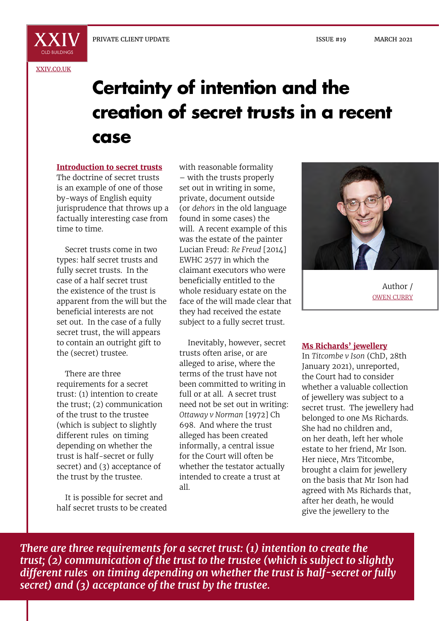X X I

# **Certainty of intention and the creation of secret trusts in a recent case**

#### **Introduction to secret trusts**

The doctrine of secret trusts is an example of one of those by-ways of English equity jurisprudence that throws up a factually interesting case from time to time.

Secret trusts come in two types: half secret trusts and fully secret trusts. In the case of a half secret trust the existence of the trust is apparent from the will but the beneficial interests are not set out. In the case of a fully secret trust, the will appears to contain an outright gift to the (secret) trustee.

There are three requirements for a secret trust: (1) intention to create the trust; (2) communication of the trust to the trustee (which is subject to slightly different rules on timing depending on whether the trust is half-secret or fully secret) and (3) acceptance of the trust by the trustee.

It is possible for secret and half secret trusts to be created with reasonable formality – with the trusts properly set out in writing in some, private, document outside (or *dehors* in the old language found in some cases) the will. A recent example of this was the estate of the painter Lucian Freud: *Re Freud* [2014] EWHC 2577 in which the claimant executors who were beneficially entitled to the whole residuary estate on the face of the will made clear that they had received the estate subject to a fully secret trust.

Inevitably, however, secret trusts often arise, or are alleged to arise, where the terms of the trust have not been committed to writing in full or at all. A secret trust need not be set out in writing: *Ottaway v Norman* [1972] Ch 698. And where the trust alleged has been created informally, a central issue for the Court will often be whether the testator actually intended to create a trust at all.



Author / OWEN CURRY

#### **Ms Richards' jewellery**

In *Titcombe v Ison* (ChD, 28th January 2021), unreported, the Court had to consider whether a valuable collection of jewellery was subject to a secret trust. The jewellery had belonged to one Ms Richards. She had no children and, on her death, left her whole estate to her friend, Mr Ison. Her niece, Mrs Titcombe, brought a claim for jewellery on the basis that Mr Ison had agreed with Ms Richards that, after her death, he would give the jewellery to the

*There are three requirements for a secret trust: (1) intention to create the trust; (2) communication of the trust to the trustee (which is subject to slightly different rules on timing depending on whether the trust is half-secret or fully secret) and (3) acceptance of the trust by the trustee.*